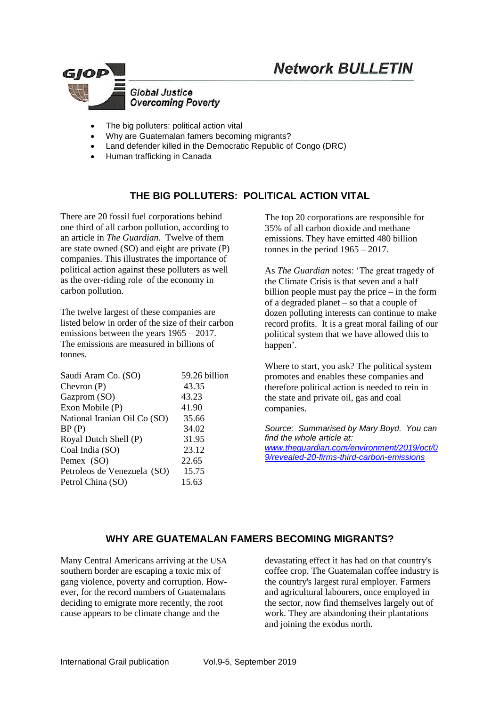



- The big polluters: political action vital
- Why are Guatemalan famers becoming migrants?
- Land defender killed in the Democratic Republic of Congo (DRC)
- Human trafficking in Canada

## **THE BIG POLLUTERS: POLITICAL ACTION VITAL**

There are 20 fossil fuel corporations behind one third of all carbon pollution, according to an article in *The Guardian*. Twelve of them are state owned (SO) and eight are private (P) companies. This illustrates the importance of political action against these polluters as well as the over-riding role of the economy in carbon pollution.

The twelve largest of these companies are listed below in order of the size of their carbon emissions between the years 1965 – 2017. The emissions are measured in billions of tonnes.

| Saudi Aram Co. (SO)          | 59.26 billion |
|------------------------------|---------------|
| Chevron $(P)$                | 43.35         |
| Gazprom (SO)                 | 43.23         |
| Exon Mobile (P)              | 41.90         |
| National Iranian Oil Co (SO) | 35.66         |
| BP(P)                        | 34.02         |
| Royal Dutch Shell (P)        | 31.95         |
| Coal India (SO)              | 23.12         |
| Pemex (SO)                   | 22.65         |
| Petroleos de Venezuela (SO)  | 15.75         |
| Petrol China (SO)            | 15.63         |
|                              |               |

The top 20 corporations are responsible for 35% of all carbon dioxide and methane emissions. They have emitted 480 billion tonnes in the period  $1965 - 2017$ .

As *The Guardian* notes: 'The great tragedy of the Climate Crisis is that seven and a half billion people must pay the price – in the form of a degraded planet – so that a couple of dozen polluting interests can continue to make record profits. It is a great moral failing of our political system that we have allowed this to happen'.

Where to start, you ask? The political system promotes and enables these companies and therefore political action is needed to rein in the state and private oil, gas and coal companies.

*Source: Summarised by Mary Boyd. You can find the whole article at: [www.theguardian.com/environment/2019/oct/0](http://www.theguardian.com/environment/2019/oct/09/revealed-20-firms-third-carbon-emissions) [9/revealed-20-firms-third-carbon-emissions](http://www.theguardian.com/environment/2019/oct/09/revealed-20-firms-third-carbon-emissions)*

## **WHY ARE GUATEMALAN FAMERS BECOMING MIGRANTS?**

Many Central Americans arriving at the USA southern border are escaping a toxic mix of gang violence, poverty and corruption. However, for the record numbers of Guatemalans deciding to emigrate more recently, the root cause appears to be climate change and the

devastating effect it has had on that country's coffee crop. The Guatemalan coffee industry is the country's largest rural employer. Farmers and agricultural labourers, once employed in the sector, now find themselves largely out of work. They are abandoning their plantations and joining the exodus north.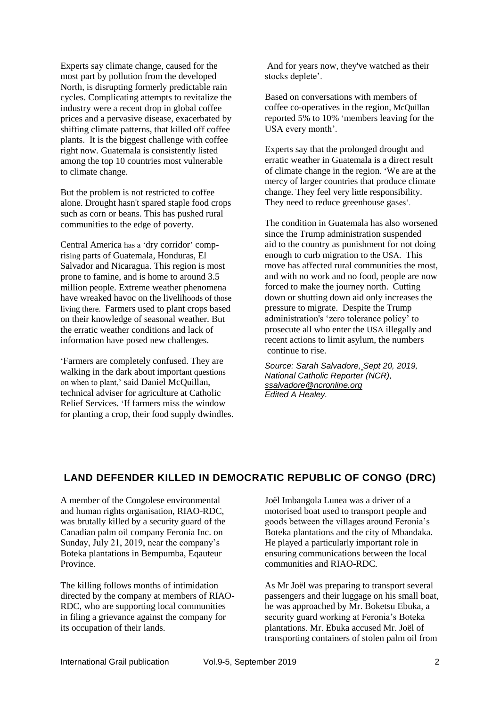Experts say climate change, caused for the most part by pollution from the developed North, is disrupting formerly predictable rain cycles. Complicating attempts to revitalize the industry were a recent drop in global coffee prices and a pervasive disease, exacerbated by shifting climate patterns, that killed off coffee plants. It is the biggest challenge with coffee right now. Guatemala is consistently listed among the [top 10 countries](https://www.gfdrr.org/en/guatemala) most vulnerable to [climate change.](https://www.usaid.gov/guatemala/environment)

But the problem is not restricted to coffee alone. Drought hasn't spared staple food crops such as corn or beans. This has pushed rural communities to the edge of poverty.

Central America has a 'dry corridor' comprising parts of Guatemala, Honduras, El Salvador and Nicaragua. This region is most prone to famine, and is home to around [3.5](http://www.fao.org/emergencies/crisis/dry-corridor/en/)  [million](http://www.fao.org/emergencies/crisis/dry-corridor/en/) people. Extreme weather phenomena have [wreaked havoc](https://news.un.org/en/story/2016/06/533262-un-agencies-meet-el-ninos-devastating-impact-central-americas-dry-corridor) on the livelihoods of those living there. Farmers used to plant crops based on their knowledge of seasonal weather. But the erratic weather conditions and lack of information have posed new challenges.

'Farmers are completely confused. They are walking in the dark about important questions on when to plant,' said Daniel McQuillan, technical adviser for agriculture at Catholic Relief Services. 'If farmers miss the window for planting a crop, their food supply dwindles.

And for years now, they've watched as their stocks deplete'.

Based on conversations with members of coffee co-operatives in the region, McQuillan reported 5% to 10% 'members leaving for the USA every month'.

Experts say that the prolonged drought and erratic weather in Guatemala is a direct result of climate change in the region. 'We are at the mercy of larger countries that produce climate change. They feel very little responsibility. They need to reduce greenhouse gases'.

The condition in Guatemala has also worsened since the Trump administration [suspended](https://www.usatoday.com/story/news/politics/2019/03/30/united-states-cuts-aid-guatemala-honduras-el-salvador-migrant-crisis/3320401002/)  [aid](https://www.usatoday.com/story/news/politics/2019/03/30/united-states-cuts-aid-guatemala-honduras-el-salvador-migrant-crisis/3320401002/) to the country as punishment for not doing enough to curb migration to the USA. This move has affected rural communities the most, and with no work and no food, people are now forced to make the journey north. Cutting down or shutting down aid only increases the pressure to migrate. Despite the Trump administration's 'zero tolerance policy' to prosecute all who enter the USA illegally and recent actions to limit asylum, the numbers continue to rise.

*Source: [Sarah Salvadore,](https://www.ncronline.org/authors/sarah-salvadore) Sept 20, 2019, National Catholic Reporter (NCR), [ssalvadore@ncronline.org](mailto:ssalvadore@ncronline.org) Edited A Healey.*

## **LAND DEFENDER KILLED IN DEMOCRATIC REPUBLIC OF CONGO (DRC)**

A member of the Congolese environmental and human rights organisation, RIAO-RDC, was brutally killed by a security guard of the Canadian palm oil company Feronia Inc. on Sunday, July 21, 2019, near the company's Boteka plantations in Bempumba, Eqauteur Province.

The killing follows months of intimidation directed by the company at members of RIAO-RDC, who are supporting local communities in filing a grievance against the company for its occupation of their lands.

Joël Imbangola Lunea was a driver of a motorised boat used to transport people and goods between the villages around Feronia's Boteka plantations and the city of Mbandaka. He played a particularly important role in ensuring communications between the local communities and RIAO-RDC.

As Mr Joël was preparing to transport several passengers and their luggage on his small boat, he was approached by Mr. Boketsu Ebuka, a security guard working at Feronia's Boteka plantations. Mr. Ebuka accused Mr. Joël of transporting containers of stolen palm oil from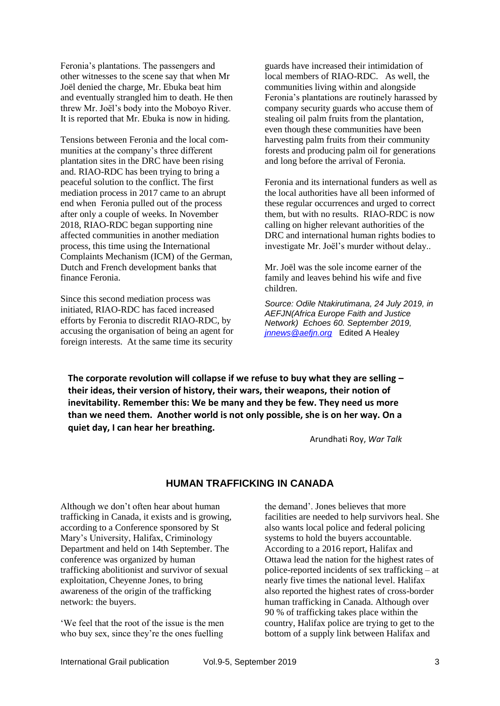Feronia's plantations. The passengers and other witnesses to the scene say that when Mr Joël denied the charge, Mr. Ebuka beat him and eventually strangled him to death. He then threw Mr. Joël's body into the Moboyo River. It is reported that Mr. Ebuka is now in hiding.

Tensions between Feronia and the local communities at the company's three different plantation sites in the DRC have been rising and. RIAO-RDC has been trying to bring a peaceful solution to the conflict. The first mediation process in 2017 came to an abrupt end when Feronia pulled out of the process after only a couple of weeks. In November 2018, RIAO-RDC began supporting nine affected communities in another mediation process, this time using the International Complaints Mechanism (ICM) of the German, Dutch and French development banks that finance Feronia.

Since this second mediation process was initiated, RIAO-RDC has faced increased efforts by Feronia to discredit RIAO-RDC, by accusing the organisation of being an agent for foreign interests. At the same time its security

guards have increased their intimidation of local members of RIAO-RDC. As well, the communities living within and alongside Feronia's plantations are routinely harassed by company security guards who accuse them of stealing oil palm fruits from the plantation, even though these communities have been harvesting palm fruits from their community forests and producing palm oil for generations and long before the arrival of Feronia.

Feronia and its international funders as well as the local authorities have all been informed of these regular occurrences and urged to correct them, but with no results. RIAO-RDC is now calling on higher relevant authorities of the DRC and international human rights bodies to investigate Mr. Joël's murder without delay..

Mr. Joël was the sole income earner of the family and leaves behind his wife and five children.

*Source: Odile [Ntakirutimana,](http://aefjn.org/en/author/odile/) 24 July 2019, in AEFJN(Africa Europe Faith and Justice Network) Echoes 60. September 2019, [jnnews@aefjn.org](mailto:jnnews@aefjn.org)* Edited A Healey

**The corporate revolution will collapse if we refuse to buy what they are selling – their ideas, their version of history, their wars, their weapons, their notion of inevitability. Remember this: We be many and they be few. They need us more than we need them. Another world is not only possible, she is on her way. On a quiet day, I can hear her breathing.**

Arundhati Roy, *War Talk*

## **HUMAN TRAFFICKING IN CANADA**

Although we don't often hear about human trafficking in Canada, it exists and is growing, according to a Conference sponsored by St Mary's University, Halifax, Criminology Department and held on 14th September. The conference was organized by human trafficking abolitionist and survivor of sexual exploitation, Cheyenne Jones, to bring awareness of the origin of the trafficking network: the buyers.

'We feel that the root of the issue is the men who buy sex, since they're the ones fuelling

the demand'. Jones believes that more facilities are needed to help survivors heal. She also wants local police and federal policing systems to hold the buyers accountable. According to a 2016 report, Halifax and Ottawa lead the nation for the highest rates of police-reported incidents of sex trafficking – at nearly five times the national level. Halifax also reported the highest rates of cross-border human trafficking in Canada. Although over 90 % of trafficking takes place within the country, Halifax police are trying to get to the bottom of a supply link between Halifax and